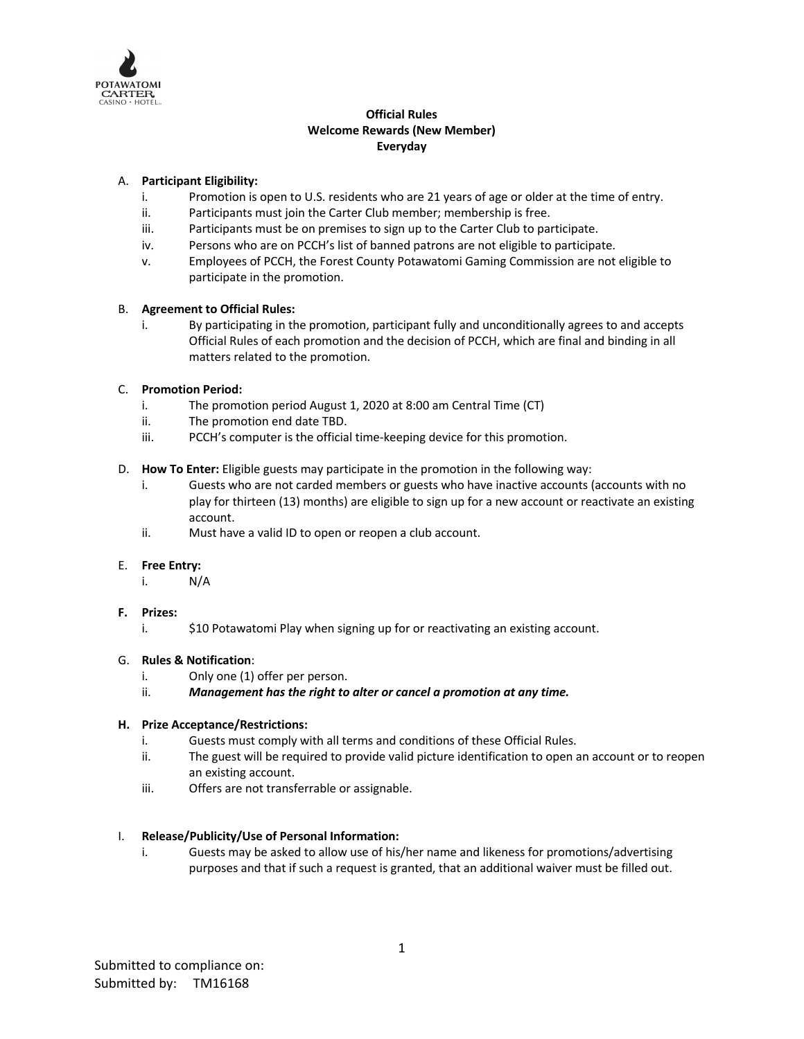

# **Official Rules Welcome Rewards (New Member) Everyday**

# A. **Participant Eligibility:**

- i. Promotion is open to U.S. residents who are 21 years of age or older at the time of entry.
- ii. Participants must join the Carter Club member; membership is free.
- iii. Participants must be on premises to sign up to the Carter Club to participate.
- iv. Persons who are on PCCH's list of banned patrons are not eligible to participate.
- v. Employees of PCCH, the Forest County Potawatomi Gaming Commission are not eligible to participate in the promotion.

### B. **Agreement to Official Rules:**

i. By participating in the promotion, participant fully and unconditionally agrees to and accepts Official Rules of each promotion and the decision of PCCH, which are final and binding in all matters related to the promotion.

# C. **Promotion Period:**

- i. The promotion period August 1, 2020 at 8:00 am Central Time (CT)
- ii. The promotion end date TBD.
- iii. PCCH's computer is the official time-keeping device for this promotion.
- D. **How To Enter:** Eligible guests may participate in the promotion in the following way:
	- i. Guests who are not carded members or guests who have inactive accounts (accounts with no play for thirteen (13) months) are eligible to sign up for a new account or reactivate an existing account.
	- ii. Must have a valid ID to open or reopen a club account.

### E. **Free Entry:**

- i. N/A
- **F. Prizes:**
	- i.  $\frac{1}{2}$  \$10 Potawatomi Play when signing up for or reactivating an existing account.

### G. **Rules & Notification**:

- i. Only one (1) offer per person.
- ii. *Management has the right to alter or cancel a promotion at any time.*

### **H. Prize Acceptance/Restrictions:**

- i. Guests must comply with all terms and conditions of these Official Rules.
- ii. The guest will be required to provide valid picture identification to open an account or to reopen an existing account.
- iii. Offers are not transferrable or assignable.

### I. **Release/Publicity/Use of Personal Information:**

i. Guests may be asked to allow use of his/her name and likeness for promotions/advertising purposes and that if such a request is granted, that an additional waiver must be filled out.